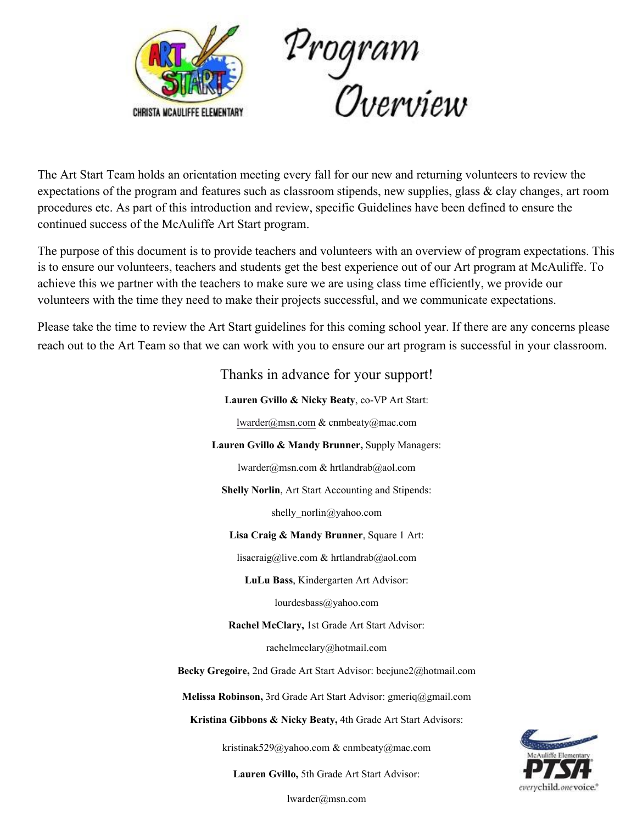



The Art Start Team holds an orientation meeting every fall for our new and returning volunteers to review the expectations of the program and features such as classroom stipends, new supplies, glass & clay changes, art room procedures etc. As part of this introduction and review, specific Guidelines have been defined to ensure the continued success of the McAuliffe Art Start program.

The purpose of this document is to provide teachers and volunteers with an overview of program expectations. This is to ensure our volunteers, teachers and students get the best experience out of our Art program at McAuliffe. To achieve this we partner with the teachers to make sure we are using class time efficiently, we provide our volunteers with the time they need to make their projects successful, and we communicate expectations.

Please take the time to review the Art Start guidelines for this coming school year. If there are any concerns please reach out to the Art Team so that we can work with you to ensure our art program is successful in your classroom.

| Thanks in advance for your support!                               |
|-------------------------------------------------------------------|
| Lauren Gvillo & Nicky Beaty, co-VP Art Start:                     |
| lwarder@msn.com & cnmbeaty@mac.com                                |
| Lauren Gvillo & Mandy Brunner, Supply Managers:                   |
| lwarder@msn.com & hrtlandrab@aol.com                              |
| <b>Shelly Norlin, Art Start Accounting and Stipends:</b>          |
| shelly norlin@yahoo.com                                           |
| Lisa Craig & Mandy Brunner, Square 1 Art:                         |
| lisacraig@live.com & hrtlandrab@aol.com                           |
| LuLu Bass, Kindergarten Art Advisor:                              |
| lourdesbass@yahoo.com                                             |
| Rachel McClary, 1st Grade Art Start Advisor:                      |
| rachelmcclary@hotmail.com                                         |
| Becky Gregoire, 2nd Grade Art Start Advisor: becjune2@hotmail.com |
| Melissa Robinson, 3rd Grade Art Start Advisor: gmeriq@gmail.com   |
| Kristina Gibbons & Nicky Beaty, 4th Grade Art Start Advisors:     |
| kristinak529@yahoo.com & cnmbeaty@mac.com                         |
| <b>Lauren Gvillo, 5th Grade Art Start Advisor:</b>                |



lwarder@msn.com